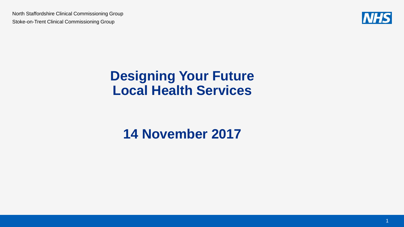

#### **Designing Your Future Local Health Services**

### **14 November 2017**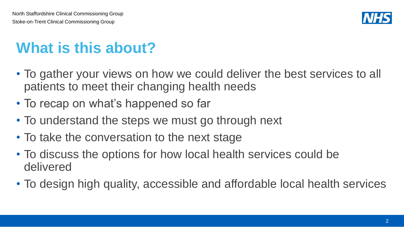

# **What is this about?**

- To gather your views on how we could deliver the best services to all patients to meet their changing health needs
- To recap on what's happened so far
- To understand the steps we must go through next
- To take the conversation to the next stage
- To discuss the options for how local health services could be delivered
- To design high quality, accessible and affordable local health services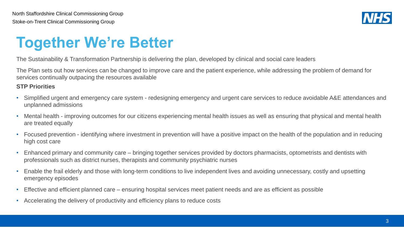

## **Together We're Better**

The Sustainability & Transformation Partnership is delivering the plan, developed by clinical and social care leaders

The Plan sets out how services can be changed to improve care and the patient experience, while addressing the problem of demand for services continually outpacing the resources available

#### **STP Priorities**

- Simplified urgent and emergency care system redesigning emergency and urgent care services to reduce avoidable A&E attendances and unplanned admissions
- Mental health improving outcomes for our citizens experiencing mental health issues as well as ensuring that physical and mental health are treated equally
- Focused prevention identifying where investment in prevention will have a positive impact on the health of the population and in reducing high cost care
- Enhanced primary and community care bringing together services provided by doctors pharmacists, optometrists and dentists with professionals such as district nurses, therapists and community psychiatric nurses
- Enable the frail elderly and those with long-term conditions to live independent lives and avoiding unnecessary, costly and upsetting emergency episodes
- Effective and efficient planned care ensuring hospital services meet patient needs and are as efficient as possible
- Accelerating the delivery of productivity and efficiency plans to reduce costs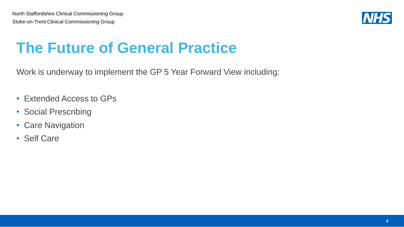

## **The Future of General Practice**

Work is underway to implement the GP 5 Year Forward View including:

- Extended Access to GPs
- Social Prescribing
- Care Navigation
- Self Care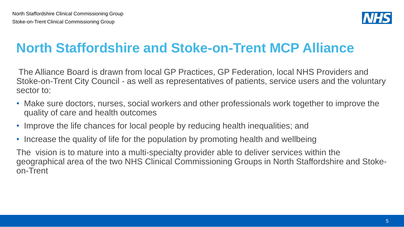

## **North Staffordshire and Stoke-on-Trent MCP Alliance**

The Alliance Board is drawn from local GP Practices, GP Federation, local NHS Providers and Stoke-on-Trent City Council - as well as representatives of patients, service users and the voluntary sector to:

- Make sure doctors, nurses, social workers and other professionals work together to improve the quality of care and health outcomes
- Improve the life chances for local people by reducing health inequalities; and
- Increase the quality of life for the population by promoting health and wellbeing

The vision is to mature into a multi-specialty provider able to deliver services within the geographical area of the two NHS Clinical Commissioning Groups in North Staffordshire and Stokeon-Trent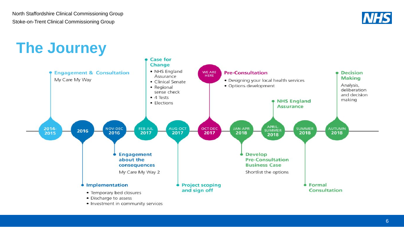

## **The Journey**



**Case for** 

• Investment in community services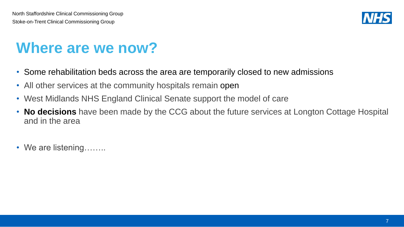

## **Where are we now?**

- Some rehabilitation beds across the area are temporarily closed to new admissions
- All other services at the community hospitals remain open
- West Midlands NHS England Clinical Senate support the model of care
- **No decisions** have been made by the CCG about the future services at Longton Cottage Hospital and in the area
- We are listening……..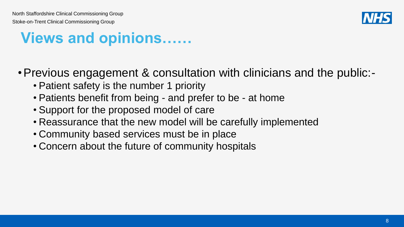

## **Views and opinions……**

- •Previous engagement & consultation with clinicians and the public:-
	- Patient safety is the number 1 priority
	- Patients benefit from being and prefer to be at home
	- Support for the proposed model of care
	- Reassurance that the new model will be carefully implemented
	- Community based services must be in place
	- Concern about the future of community hospitals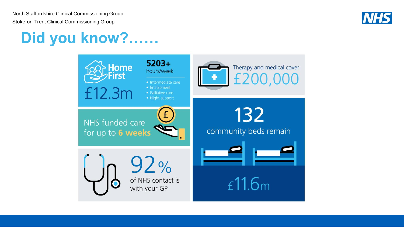

## **Did you know?……**

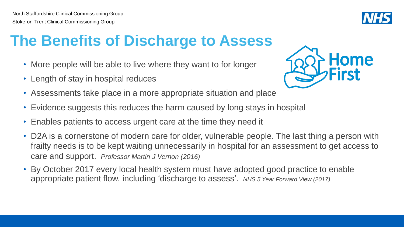## **The Benefits of Discharge to Assess**

- More people will be able to live where they want to for longer
- Length of stay in hospital reduces
- Assessments take place in a more appropriate situation and place
- Evidence suggests this reduces the harm caused by long stays in hospital
- Enables patients to access urgent care at the time they need it
- D2A is a cornerstone of modern care for older, vulnerable people. The last thing a person with frailty needs is to be kept waiting unnecessarily in hospital for an assessment to get access to care and support. *Professor Martin J Vernon (2016)*
- By October 2017 every local health system must have adopted good practice to enable appropriate patient flow, including 'discharge to assess'. *NHS 5 Year Forward View (2017)*



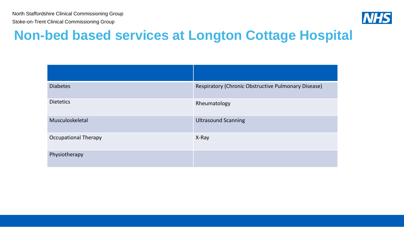

#### **Non-bed based services at Longton Cottage Hospital**

| <b>Diabetes</b>             | Respiratory (Chronic Obstructive Pulmonary Disease) |
|-----------------------------|-----------------------------------------------------|
| <b>Dietetics</b>            | Rheumatology                                        |
| Musculoskeletal             | <b>Ultrasound Scanning</b>                          |
| <b>Occupational Therapy</b> | X-Ray                                               |
| Physiotherapy               |                                                     |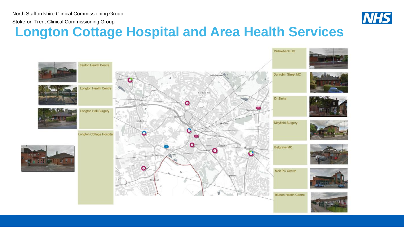

#### **Longton Cottage Hospital and Area Health Services**

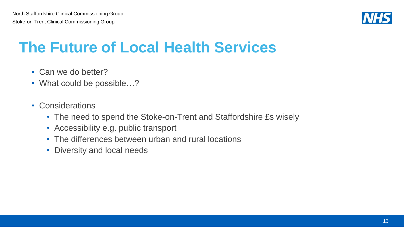

## **The Future of Local Health Services**

- Can we do better?
- What could be possible...?
- Considerations
	- The need to spend the Stoke-on-Trent and Staffordshire £s wisely
	- Accessibility e.g. public transport
	- The differences between urban and rural locations
	- Diversity and local needs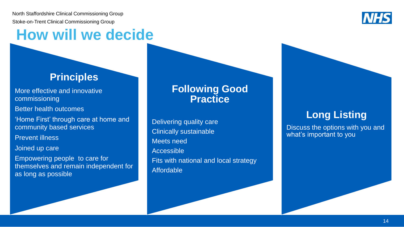## **How will we decide**

#### **Principles**

More effective and innovative commissioning

Better health outcomes

'Home First' through care at home and community based services

Prevent illness

Joined up care

Empowering people to care for themselves and remain independent for as long as possible

#### **Following Good Practice**

Delivering quality care Clinically sustainable Meets need Accessible Fits with national and local strategy Affordable

#### **Long Listing**

Discuss the options with you and what's important to you

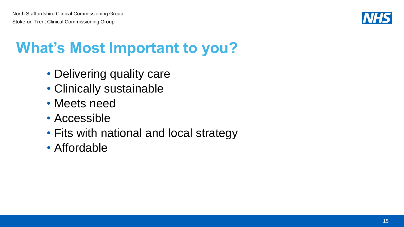

# **What's Most Important to you?**

- Delivering quality care
- Clinically sustainable
- Meets need
- Accessible
- Fits with national and local strategy
- Affordable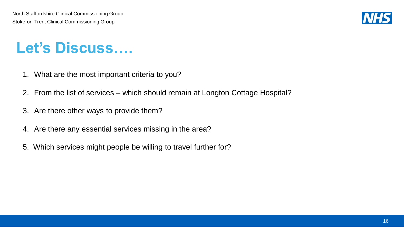

## **Let's Discuss….**

- 1. What are the most important criteria to you?
- 2. From the list of services which should remain at Longton Cottage Hospital?
- 3. Are there other ways to provide them?
- 4. Are there any essential services missing in the area?
- 5. Which services might people be willing to travel further for?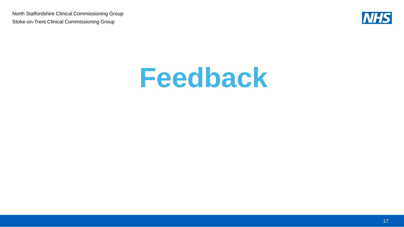

# **Feedback**